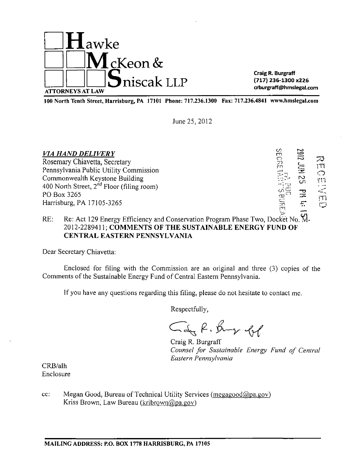

Craig R. Burgraff (717) 236-1300 x226 crburgraff@hmslegal.com

100 North Tenth Street, Harrisburg, PA 17101 Phone: 717.236.1300 Fax: 717.236.4841 www.hnislegal.com

June 25, 2012

| <b>VIA HAND DELIVERY</b>                       | U.<br>m    | 2102 |                 |
|------------------------------------------------|------------|------|-----------------|
| Rosemary Chiavetta, Secretary                  | יה<br>וחק  |      | 73              |
| Pennsylvania Public Utility Commission         |            | 芝    | س<br>$\bigcirc$ |
| Commonwealth Keystone Building                 |            | N    | Yn              |
| 400 North Street, $2^{nd}$ Floor (filing room) |            |      |                 |
| PO Box 3265                                    | $\omega =$ | 곦    | ï٦              |
| Harrisburg, PA 17105-3265                      | allis      | 4.   | Õ               |
|                                                | $\sim$     | z et |                 |

# RE: Re: Act 129 Energy Efficiency and Conservation Program Phase Two, Docket No. M-2012-2289411; COMMENTS OF THE SUSTAINABLE ENERGY FUND OF CENTRAL EASTERN PENNSYLVANIA

Dear Secretary Chiavetta:

Enclosed for filing with the Commission are an original and three (3) copies of the Comments of the Sustainable Energy Fund of Central Eastern Pennsylvania.

If you have any questions regarding this filing, please do not hesitate to contact me.

Respectfully,

Cay R. Bung fol

Craig R. Burgraff *Counsel for Sustainable Energy Fund of Central Eastern Pennsylvania* 

CRB/alh Enclosure

cc: Megan Good, Bureau of Technical Utility Services (megagood@pa.gov) Kriss Brown, Law Bureau (kribrown@pa.gov)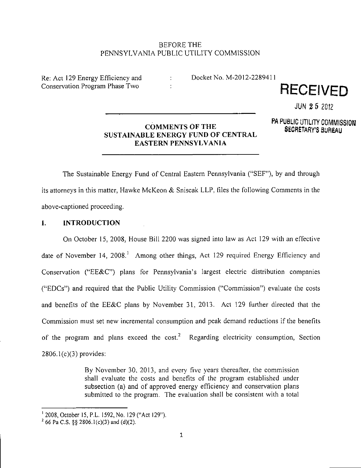# BEFORE THE PENNSYLVANIA PUBLIC UTILITY COMMISSION

Re: Act 129 Energy Efficiency and Docket No. M-2012-2289411



JUN 2 5 2012

#### **COMMENTS OF THE P A COMMENTS OF THE SECRETARY'S BUREAU SUSTAINABLE ENERGY FUND OF CENTRAL EASTERN PENNSYLVANIA**

™ UULIU UTILITT UUININISSIUN<br>DIDEATI **SECRETARY'S BUREAU** 

**The Sustainable Energy Fund of Central Eastern Pennsylvania ("SEF"), by and through its attorneys in this matter, Hawke McKeon & Sniscak LLP, files the following Comments in the above-captioned proceeding.** 

# **I. INTRODUCTION**

On October 15. 2008. House Bill 2200 was signed into law as Act 129 with an effective date of November 14, 2008.<sup>1</sup> Among other things, Act 129 required Energy Efficiency and Conservation ("EE&C") plans for Pennsylvania's largest electric distribution companies ("EDCs") and required that the Public Utility Commission ("Commission") evaluate the costs and benefits of the EE&C plans by November 31, 2013. Act 129 further directed that the Commission must set new incremental consumption and peak demand reductions if the benefits of the program and plans exceed the cost.<sup>2</sup> Regarding electricity consumption, Section 2806.1(c)(3) provides:

> By November 30, 2013, and every five years thereafter, the commission shall evaluate the costs and benefits of the program established under subsection (a) and of approved energy efficiency and conservation plans submitted to the program. The evaluation shall be consistent with a total

<sup>&#</sup>x27; 2008, October 15, P.L. 1592, No. 129 ("Act 129").

 $2^{2}$  66 Pa C.S. §§ 2806.1(c)(3) and (d)(2).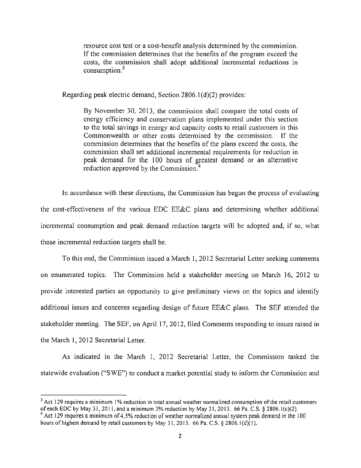resource cost test or a cost-benefit analysis determined by the commission. If the commission determines that the benefits of the program exceed the costs, the commission shall adopt additional incremental reductions in consumption.<sup>3</sup>

Regarding peak electric demand, Section 2806.1(d)(2) provides:

By November 30, 2013, the commission shall compare the total costs of energy efficiency and conservation plans implemented under this section to the total savings in energy and capacity costs to retail customers in this Commonwealth or other costs determined by the commission. If the commission determines that the benefits of the plans exceed the costs, the commission shall set additional incremental requirements for reduction in peak demand for the 100 hours of greatest demand or an alternative reduction approved by the Commission.<sup>4</sup>

In accordance with these directions, the Commission has begun the process of evaluating the cost-effectiveness of the various EDC EE&C plans and determining whether additional incremental consumption and peak demand reduction targets will be adopted and, if so, what those incremental reduction targets shall be.

To this end, the Commission issued a March 1, 2012 Secretarial Letter seeking comments on enumerated topics. The Commission held a stakeholder meeting on March 16, 2012 to provide interested parties an opportunity to give preliminary views on the topics and identify additional issues and concerns regarding design of future EE&C plans. The SEF attended the stakeholder meeting. The SEF, on April 17, 2012, filed Comments responding to issues raised in the March 1, 2012 Secretarial Letter.

As indicated in the March 1, 2012 Secretarial Letter, the Commission tasked the statewide evaluation ("SWE") to conduct a market potential study to inform the Commission and

<sup>&</sup>lt;sup>3</sup> Act 129 requires a minimum 1% reduction in total annual weather normalized consumption of the retail customers of each EDC by May 31, 2011, and a minimum 3% reduction by May 31, 2013. 66 Pa. C.S. § 2806.1(c)(2).

<sup>&</sup>lt;sup>4</sup> Act 129 requires a minimum of 4.5% reduction of weather normalized annual system peak demand in the 100 hours of highest demand by retail customers by May 31, 2013. 66 Pa. C.S. § 2806.1(d)(1).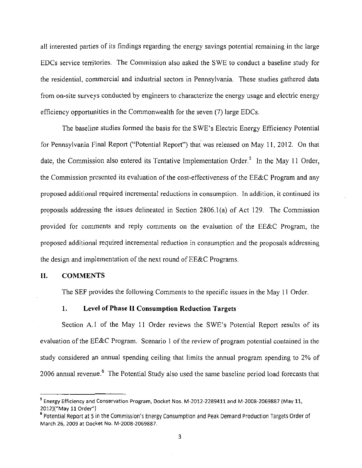all interested parties of its findings regarding the energy savings potential remaining in the large EDCs service territories. The Commission also asked the SWE to conduct a baseline study for the residential, commercial and industrial sectors in Pennsylvania. These studies gathered data from on-site surveys conducted by engineers to characterize the energy usage and electric energy efficiency opportunities in the Commonwealth for the seven (7) large EDCs.

**The baseline studies formed the basis for the SWE's Electric Energy Efficiency Potential for Pennsylvania Final Report ("Potential Report") that was released on May 11, 2012. On that date, the Commission also entered its Tentative Implementation Order.<sup>3</sup> In the May 11 Order, the Commission presented its evaluation of the cost-effectiveness of the EE&C Program and any proposed additional required incremental reductions in consumption. In addition, it continued its proposals addressing the issues delineated in Section 2806.1(a) of Act 129. The Commission provided for comments and reply comments on the evaluation of the EE&C Program, the proposed additional required incremental reduction in consumption and the proposals addressing the design and implementation of the next round of EE&C Programs.** 

# **II. COMMENTS**

The SEF provides the following Comments to the specific issues in the May 11 Order.

# **1. Level of Phase II Consumption Reduction Targets**

Section A.1 of the May 11 Order reviews the SWE's Potential Report results of its evaluation of the EE&C Program. Scenario 1 of the review of program potential contained in the study considered an annual spending ceiling that limits the annual program spending to 2% of 2006 annual revenue. <sup>6</sup> The Potential Study also used the same baseline period load forecasts that

<sup>5</sup> Energy Efficiency and Conservation Program, Docket Nos. IVI-2012-2289411 and M-2008-2069887 (May 11, 2012)("May 11 Order")

<sup>6</sup> Potential Report at 5 in the Commission's Energy Consumption and Peak Demand Production Targets Order of March 26, 2009 at Docket No. M-2008-2069887.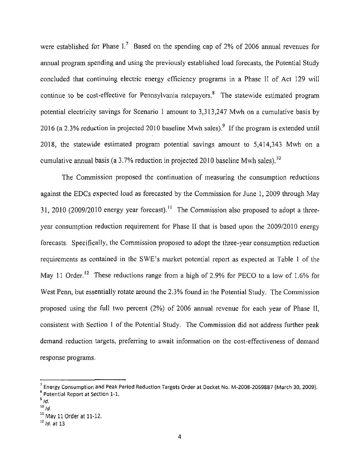were established for Phase I.' Based on the spending cap of 2% of 2006 annual revenues for annual program spending and using the previously established load forecasts, the Potential Study concluded that continuing electric energy efficiency programs in a Phase II of Act 129 will continue to be cost-effective for Pennsylvania ratepayers.<sup>8</sup> The statewide estimated program potential electricity savings for Scenario 1 amount to 3,313,247 Mwh on a cumulative basis by 2016 (a 2.3% reduction in projected 2010 baseline Mwh sales).<sup>9</sup> If the program is extended until 2018, the statewide estimated program potential savings amount to 5,414,343 Mwh on a cumulative annual basis (a  $3.7\%$  reduction in projected 2010 baseline Mwh sales).<sup>10</sup>

The Commission proposed the continuation of measuring the consumption reductions against the EDCs expected load as forecasted by the Commission for June 1, 2009 through May 31, 2010 (2009/2010 energy year forecast).<sup>11</sup> The Commission also proposed to adopt a threeyear consumption reduction requirement for Phase II that is based upon the 2009/2010 energy forecasts. Specifically, the Commission proposed to adopt the three-year consumption reduction requirements as contained in the SWE's market potential report as expected at Table 1 of the May 11 Order.<sup>12</sup> These reductions range from a high of 2.9% for PECO to a low of 1.6% for West Penn, but essentially rotate around the 2.3% found in the Potential Study. The Commission proposed using the full two percent (2%) of 2006 annual revenue for each year of Phase II, consistent with Section 1 of the Potential Study. The Commission did not address further peak demand reduction targets, preferring to await information on the cost-effectiveness of demand response programs,

<sup>7</sup> Energy Consumption and Peak Period Reduction Targets Order at Docket No. M-2008-2069887 (March 30, 2009). <sup>8</sup> Potential Report at Section 1-1.

 $^{\circ}$  Id.

 $10$  *Id.* 

 $^{\prime\prime}$  May 11 Order at 11-12.

 $12$  *id.* at 13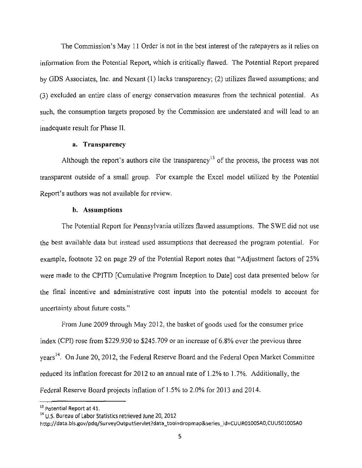The Commission's May 11 Order is not in the best interest of the ratepayers as it relies on information from the Potential Report, which is critically flawed. The Potential Report prepared by GDS Associates, Inc. and Nexant (1) lacks transparency; (2) utilizes flawed assumptions; and (3) excluded an entire class of energy conservation measures from the technical potential. As such, the consumption targets proposed by the Commission are understated and will lead to an inadequate result for Phase II.

#### **a. Transparency**

Although the report's authors cite the transparency<sup>13</sup> of the process, the process was not transparent outside of a small group. For example the Excel model utilized by the Potential Report's authors was not available for review.

#### **b. Assumptions**

The Potential Report for Pennsylvania utilizes flawed assumptions. The SWE did not use the best available data but instead used assumptions that decreased the program potential. For example, footnote 32 on page 29 of the Potential Report notes that "Adjustment factors of 25% were made to the CPITD [Cumulative Program Inception to Date] cost data presented below for the final incentive and administrative cost inputs into the potential models to account for uncertainty about future costs."

From June 2009 through May 2012. the basket of goods used for the consumer price index (CPI) rose from \$229,930 to \$245,709 or an increase of 6.8% over the previous three years<sup>14</sup>. On June 20, 2012, the Federal Reserve Board and the Federal Open Market Committee reduced its inflation forecast for 2012 to an annual rate of 1.2% to 1.7%. Additionally, the Federal Reserve Board projects inflation of 1.5% to 2.0% for 2013 and 2014.

<sup>&</sup>lt;sup>13</sup> Potential Report at 41.

<sup>&</sup>lt;sup>14</sup> U.S. Bureau of Labor Statistics retrieved June 20, 2012

http://data.bls.gov/pdq/SurveyOutputServlet?data\_tool=dropmap&5eries\_id=CUUR0100SA0,CUUS0100SA0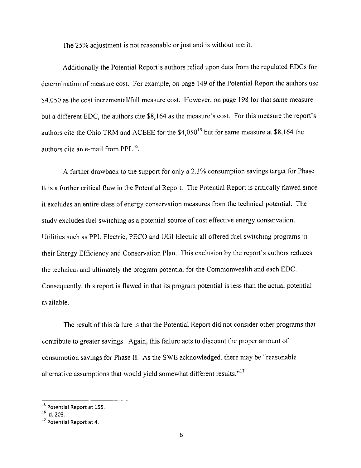The 25% adjustment is not reasonable or just and is without merit.

Additionally the Potential Report's authors relied upon data from the regulated EDCs for determination of measure cost. For example, on page 149 of the Potential Report the authors use \$4,050 as the cost incremental/full measure cost. However, on page 198 for that same measure but a different EDC, the authors cite \$8,164 as the measure's cost. For this measure the report's authors cite the Ohio TRM and ACEEE for the \$4,050<sup>15</sup> but for same measure at \$8,164 the authors cite an e-mail from PPL<sup>16</sup>.

A further drawback to the support for only a 2.3% consumption savings target for Phase II is a further critical flaw in the Potential Report. The Potential Report is critically flawed since it excludes an entire class of energy conservation measures from the technical potential. The study excludes fuel switching as a potential source of cost effective energy conservation. Utilities such as PPL Electric, PECO and UGI Electric all offered fuel switching programs in their Energy Efficiency and Conservation Plan. This exclusion by the report's authors reduces the technical and ultimately the program potential for the Commonwealth and each EDC. Consequently, this report is flawed in that its program potential is less than the actual potential available.

The result of this failure is that the Potential Report did not consider other programs that contribute to greater savings. Again, this failure acts to discount the proper amount of consumption savings for Phase II. As the SWE acknowledged, there may be "reasonable alternative assumptions that would yield somewhat different results."<sup>17</sup>

<sup>&</sup>lt;sup>15</sup> Potential Report at 155.

 $^{\prime\prime}$  Id. 203.

 $\cdot'$  Potential Report at 4.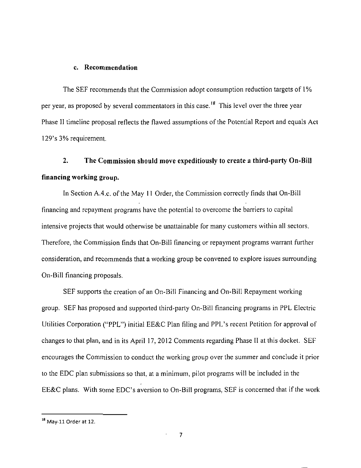#### **c. Recommendation**

The SEF recommends that the Commission adopt consumption reduction targets of 1% per year, as proposed by several commentators in this case.<sup>18</sup> This level over the three year Phase II timeline proposal reflects the flawed assumptions of the Potential Report and equals Act 129's 3% requirement.

# **2. The Commission should move expeditiously to create a third-party On-Bill financing working group.**

In Section A.4.c. of the May 11 Order, the Commission correctly finds that On-Bill financing and repayment programs have the potential to overcome the barriers to capital intensive projects that would otherwise be unattainable for many customers within all sectors. Therefore, the Commission finds that On-Bill financing or repayment programs warrant further consideration, and recommends that a working group be convened to explore issues surrounding On-Bill financing proposals.

SEF supports the creation of an On-Bill Financing and On-Bill Repayment working group. SEF has proposed and supported third-party On-Bill financing programs in PPL Electric Utilities Corporation ("PPL") initial EE&C Plan filing and PPL's recent Petition for approval of changes to that plan, and in its April 17, 2012 Comments regarding Phase II at this docket. SEF encourages the Commission to conduct the working group over the summer and conclude it prior to the EDC plan submissions so that, at a minimum, pilot programs will be included in the  $E$ E $C$  plans. With some EDC's aversion to On-Bill programs, SEF is concerned that if the work

 $^{18}$  May 11 Order at 12.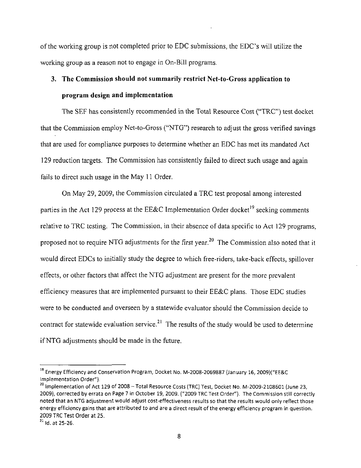of the working group is not completed prior to EDC submissions, the EDC's will utilize the working group as a reason not to engage in On-Bill programs.

# **3. The Commission should not summarily restrict Net-to-Gross application to program design and implementation**

The SEF has consistently recommended in the Total Resource Cost ("TRC") test docket that the Commission employ Net-to-Gross ("NTG") research to adjust the gross verified savings that are used for compliance purposes to determine whether an EDC has met its mandated Act 129 reduction targets. The Commission has consistently failed to direct such usage and again fails to direct such usage in the May 11 Order.

On May 29, 2009, the Commission circulated a TRC test proposal among interested parties in the Act 129 process at the EE&C Implementation Order docket<sup>19</sup> seeking comments relative to TRC testing. The Commission, in their absence of data specific to Act 129 programs, proposed not to require NTG adjustments for the first year.<sup>20</sup> The Commission also noted that it would direct EDCs to initially study the degree to which free-riders, take-back effects, spillover effects, or other factors that affect the NTG adjustment are present for the more prevalent efficiency measures that are implemented pursuant to their EE&C plans. Those EDC studies were to be conducted and overseen by a statewide evaluator should the Commission decide to contract for statewide evaluation service.<sup>21</sup> The results of the study would be used to determine if NTG adjustments should be made in the future.

 $^\circ$  Energy Efficiency and Conservation Program, Docket No. M-2008-2069887 (January 16, 2009)("EE&C Implementation Order").

<sup>2</sup> 0 Implementation of Act 129 of 2008 - Total Resource Costs (TRC) Test, Docket No. M-2009-2108601 (June 23, 2009), corrected by errata on Page 7 in October 19, 2009. ("2009 TRC Test Order"). The Commission still correctly noted that an NTG adjustment would adjust cost-effectiveness results so that the results would only reflect those energy efficiency gains that are attributed to and are a direct result of the energy efficiency program in question. 2009 TRC Test Order at 25.

 $4$  Id. at 25-26.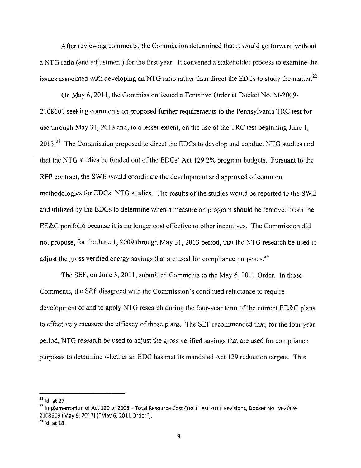After reviewing comments, the Commission determined that it would go forward without a NTG ratio (and adjustment) for the first year. It convened a stakeholder process to examine the issues associated with developing an NTG ratio rather than direct the EDCs to study the matter.<sup>22</sup>

On May 6, 2011, the Commission issued a Tentative Order at Docket No. M-2009- 2108601 seeking comments on proposed further requirements to the Pennsylvania TRC test for use through May 31, 2013 and, to a lesser extent, on the use of the TRC test beginning June 1,  $2013.<sup>23</sup>$  The Commission proposed to direct the EDCs to develop and conduct NTG studies and that the NTG studies be funded out of the EDCs' Act 129 2% program budgets. Pursuant to the RFP contract, the SWE would coordinate the development and approved of common methodologies for EDCs' NTG studies. The results of the studies would be reported to the SWE and utilized by the EDCs to determine when a measure on program should be removed from the EE&C portfolio because it is no longer cost effective to other incentives. The Commission did not propose, for the June 1, 2009 through May 31, 2013 period, that the NTG research be used to adjust the gross verified energy savings that are used for compliance purposes.<sup>24</sup>

The SEF, on June 3, 2011, submitted Comments to the May 6, 2011 Order. In those Comments, the SEF disagreed with the Commission's continued reluctance to require development of and to apply NTG research during the four-year term of the current EE&C plans to effectively measure the efficacy of those plans. The SEF recommended that, for the four year period, NTG research be used to adjust the gross verified savings that are used for compliance purposes to determine whether an EDC has met its mandated Act 129 reduction targets. This

 $^{22}$  Id. at 27.

<sup>&</sup>lt;sup>23</sup> Implementation of Act 129 of 2008 – Total Resource Cost (TRC) Test 2011 Revisions, Docket No. M-2009-2108609 (May 6, 2011) ("May 6, 2011 Order").

 $^{24}$  Id. at 18.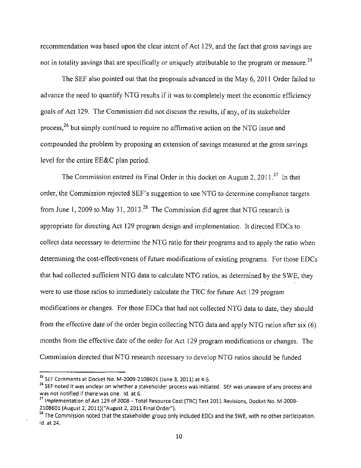recommendation was based upon the clear intent of Act 129, and the fact that gross savings are not in totality savings that are specifically or uniquely attributable to the program or measure.<sup>25</sup>

The SEF also pointed out that the proposals advanced in the May 6, 2011 Order failed to advance the need to quantify NTG results if it was to completely meet the economic efficiency goals of Act 129. The Commission did not discuss the results, if any, of its stakeholder process,<sup>26</sup> but simply continued to require no affirmative action on the NTG issue and compounded the problem by proposing an extension of savings measured at the gross savings level for the entire EE&C plan period.

The Commission entered its Final Order in this docket on August 2, 2011.<sup>27</sup> In that order, the Commission rejected SEF's suggestion to use NTG to determine compliance targets from June 1, 2009 to May 31, 2013.<sup>28</sup> The Commission did agree that NTG research is appropriate for directing Act 129 program design and implementation. It directed EDCs to collect data necessary to determine the NTG ratio for their programs and to apply the ratio when determining the cost-effectiveness of future modifications of existing programs. For those EDCs that had collected sufficient NTG data to calculate NTG ratios, as determined by the SWE, they were to use those ratios to immediately calculate the TRC for future Act 129 program modifications or changes. For those EDCs that had not collected NTG data to date, they should from the effective date of the order begin collecting NTG data and apply NTG ratios after six (6) months from the effective date of the order for Act 129 program modifications or changes. The Commission directed that NTG research necessary to develop NTG ratios should be funded

<sup>&</sup>lt;sup>23</sup> SEF Comments at Docket No. M-2009-2108601 (June 3, 2011) at 4-5.

<sup>&</sup>lt;sup>2</sup> SEF noted it was unclear on whether a stakeholder process was initiated. SEF was unaware of any process and was not notified if there was one. Id. at 6.

<sup>2</sup> 7 Implementation of Act 129 of 2008 - Total Resource Cost (TRC) Test 2011 Revisions, Docket No. M-2009- 2108601 (August 2, 2011)("August 2, 2011 Final Order").

<sup>&</sup>lt;sup>28</sup> The Commission noted that the stakeholder group only included EDCs and the SWE, with no other participation. Id. at 24.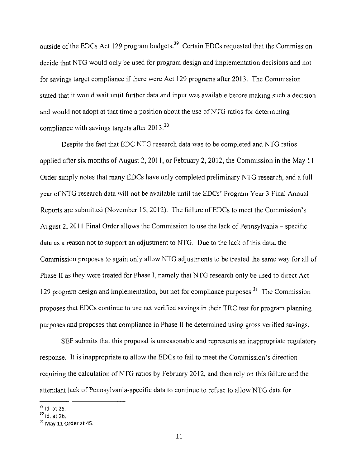outside of the EDCs Act 129 program budgets.<sup>29</sup> Certain EDCs requested that the Commission decide that NTG would only be used for program design and implementation decisions and not for savings target compliance if there were Act 129 programs after 2013. The Commission stated that it would wait until further data and input was available before making such a decision and would not adopt at that time a position about the use of NTG ratios for determining compliance with savings targets after 2013.<sup>30</sup>

Despite the fact that EDC NTG research data was to be completed and NTG ratios applied after six months of August 2, 2011, or February 2, 2012, the Commission in the May 11 Order simply notes that many EDCs have only completed preliminary NTG research, and a full year of NTG research data will not be available until the EDCs' Program Year 3 Final Annual Reports are submitted (November 15, 2012). The failure of EDCs to meet the Commission's August 2, 2011 Final Order allows the Commission to use the lack of Pennsylvania – specific data as a reason not to support an adjustment to NTG. Due to the lack of this data, the Commission proposes to again only allow NTG adjustments to be treated the same way for all of Phase II as they were treated for Phase I, namely that NTG research only be used to direct Act 129 program design and implementation, but not for compliance purposes.<sup>31</sup> The Commission proposes that EDCs continue to use net verified savings in their TRC test for program planning purposes and proposes that compliance in Phase II be determined using gross verified savings.

SEF submits that this proposal is unreasonable and represents an inappropriate regulatory response. It is inappropriate to allow the EDCs to fail to meet the Commission's direction requiring the calculation of NTG ratios by February 2012, and then rely on this failure and the attendant lack of Pennsylvania-specific data to continue to refuse to allow NTG data for

 $^{29}$  ld. at 25.

 $\frac{30}{10}$  id. at 26.

 $3^3$  May 11 Order at 45.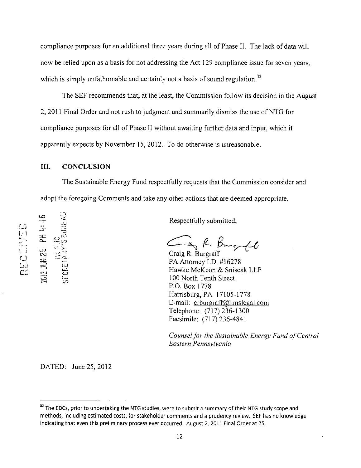compliance purposes for an additional three years during all of Phase II. The lack of data will now be relied upon as a basis for not addressing the Act 129 compliance issue for seven years, which is simply unfathomable and certainly not a basis of sound regulation.<sup>32</sup>

The SEF recommends that, at the least, the Commission follow its decision in the August 2, 2011 Final Order and not rush to judgment and summarily dismiss the use of NTG for compliance purposes for all of Phase II without awaiting further data and input, which it apparently expects by November 15, 2012. To do otherwise is unreasonable.

#### **III. CONCLUSION**

- .. L<u>'J</u>

z5

 $\vdash$ 

 $\Xi$   $\Xi$ 

ر،<br>س

LO<br>N

The Sustainable Energy Fund respectfully requests that the Commission consider and adopt the foregoing Comments and take any other actions that are deemed appropriate.

Respectfully submitted,

Craig R. Burgraft

PA Attorney I.D. #16278 Hawke McKeon & Sniscak LLP 100 North Tenth Street P.O. Box 1778 Harrisburg, PA 17105-1778 E-mail: crburgraff@hmslegal.com Telephone: (717) 236-1300 Facsimile: (717) 236-4841

*Counsel for the Sustainable Energy Fund of Central Eastern Pennsylvania* 

DATED: June 25, 2012

<sup>&</sup>lt;sup>32</sup> The EDCs, prior to undertaking the NTG studies, were to submit a summary of their NTG study scope and methods, including estimated costs, for stakeholder comments and a prudency review. SEF has no knowledge indicating that even this preliminary process ever occurred. August 2, 2011 Final Order at 25.